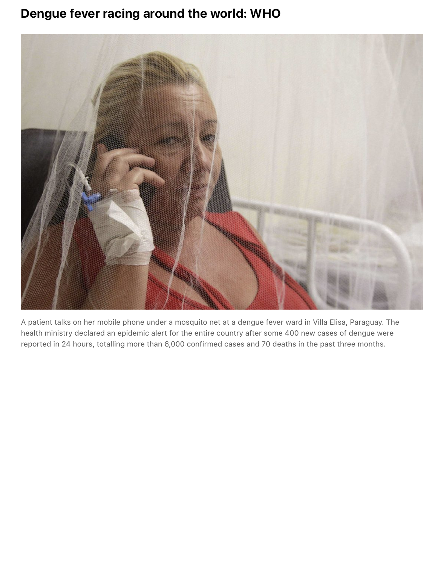## **Dengue fever racing around the world: WHO**



A patient talks on her mobile phone under a mosquito net at a dengue fever ward in Villa Elisa, Paraguay. The health ministry declared an epidemic alert for the entire country after some 400 new cases of dengue were reported in 24 hours, totalling more than 6,000 confirmed cases and 70 deaths in the past three months.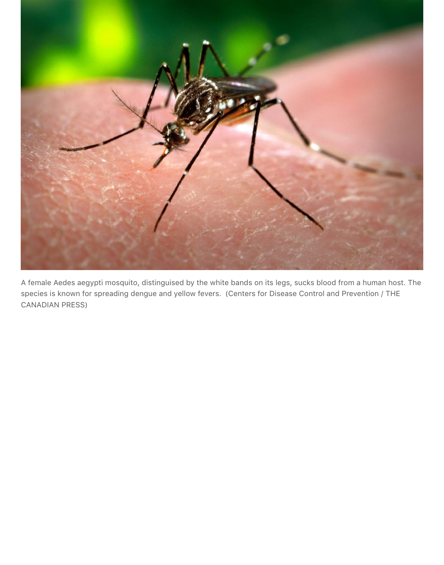

A female Aedes aegypti mosquito, distinguised by the white bands on its legs, sucks blood from a human host. The species is known for spreading dengue and yellow fevers. (Centers for Disease Control and Prevention / THE CANADIAN PRESS)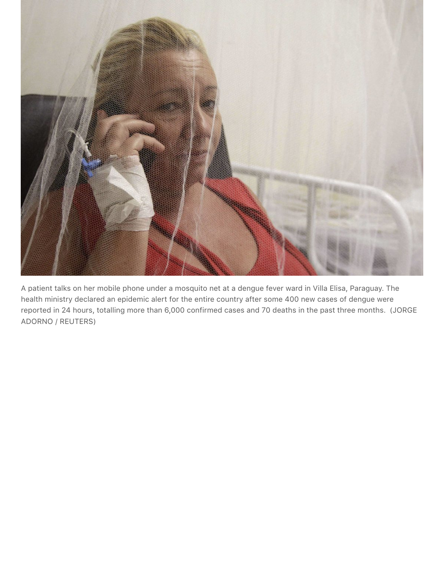

A patient talks on her mobile phone under a mosquito net at a dengue fever ward in Villa Elisa, Paraguay. The health ministry declared an epidemic alert for the entire country after some 400 new cases of dengue were reported in 24 hours, totalling more than 6,000 confirmed cases and 70 deaths in the past three months. (JORGE ADORNO / REUTERS)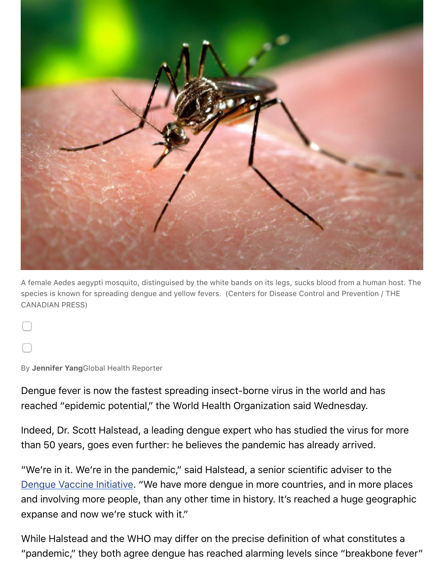

A female Aedes aegypti mosquito, distinguised by the white bands on its legs, sucks blood from a hum species is known for spreading dengue and yellow fevers. (Centers for Disease Control and Preventior CANADIAN PRESS)

By **Jennifer Yang**Global Health Reporter

Dengue fever is now the fastest spreading insect-borne virus in the world and has reached "epidemic potential," the World Health Organization said Wednesday.

Indeed, Dr. Scott Halstead, a leading dengue expert who has studied the virus fo than 50 years, goes even further: he believes the pandemic has already arrived.

"We're in it. We're in the pandemic," said Halstead, a senior scientific adviser to Dengue Vaccine Initiative. "We have more dengue in more countries, and in more and involving more people, than any other time in history. It's reached a huge ge expanse and now we're stuck with it."

While Halstead and the WHO may differ on the precise definition of what constit ["pandemic," they both ag](http://www.denguevaccines.org/)ree dengue has reached alarming levels since "breakber"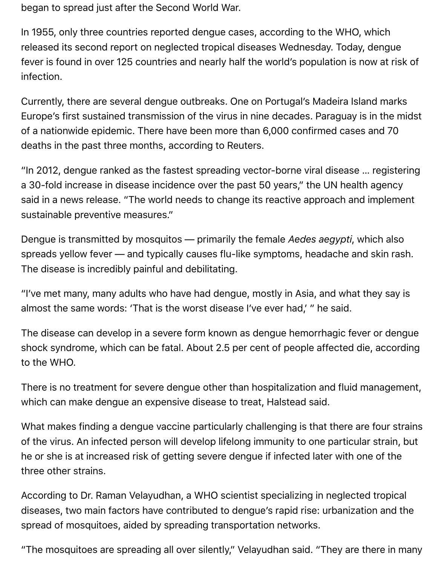began to spread just after the Second World War.

In 1955, only three countries reported dengue cases, according to the WHO, which released its second report on neglected tropical diseases Wednesday. Today, dengue fever is found in over 125 countries and nearly half the world's population is now at risk of infection.

Currently, there are several dengue outbreaks. One on Portugal's Madeira Island marks Europe's first sustained transmission of the virus in nine decades. Paraguay is in the midst of a nationwide epidemic. There have been more than 6,000 confirmed cases and 70 deaths in the past three months, according to Reuters.

"In 2012, dengue ranked as the fastest spreading vector-borne viral disease … registering a 30-fold increase in disease incidence over the past 50 years," the UN health agency said in a news release. "The world needs to change its reactive approach and implement sustainable preventive measures."

Dengue is transmitted by mosquitos — primarily the female *Aedes aegypti*, which also spreads yellow fever — and typically causes flu-like symptoms, headache and skin rash. The disease is incredibly painful and debilitating.

"I've met many, many adults who have had dengue, mostly in Asia, and what they say is almost the same words: 'That is the worst disease I've ever had,' " he said.

The disease can develop in a severe form known as dengue hemorrhagic fever or dengue shock syndrome, which can be fatal. About 2.5 per cent of people affected die, according to the WHO.

There is no treatment for severe dengue other than hospitalization and fluid management, which can make dengue an expensive disease to treat, Halstead said.

What makes finding a dengue vaccine particularly challenging is that there are four strains of the virus. An infected person will develop lifelong immunity to one particular strain, but he or she is at increased risk of getting severe dengue if infected later with one of the three other strains.

According to Dr. Raman Velayudhan, a WHO scientist specializing in neglected tropical diseases, two main factors have contributed to dengue's rapid rise: urbanization and the spread of mosquitoes, aided by spreading transportation networks.

"The mosquitoes are spreading all over silently," Velayudhan said. "They are there in many